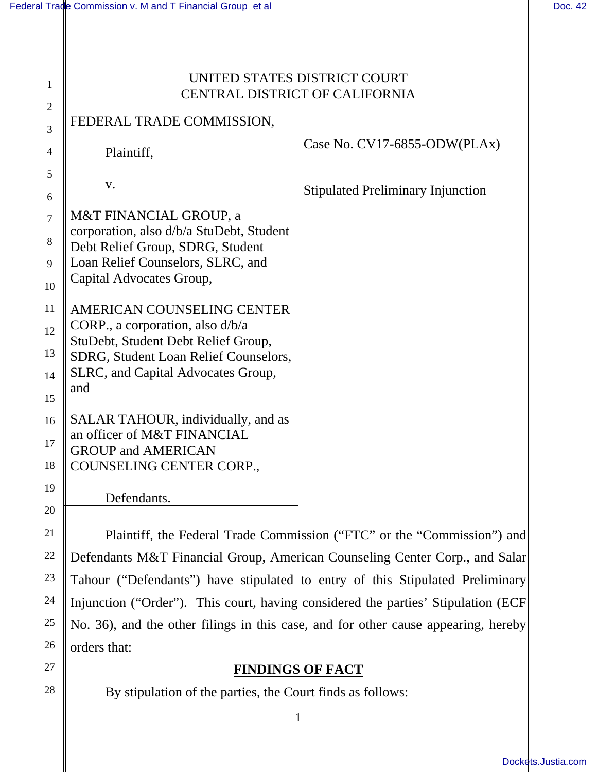22

23

24

25

26

27

28

| $\mathbf{1}$     | UNITED STATES DISTRICT COURT<br><b>CENTRAL DISTRICT OF CALIFORNIA</b>        |                                                                      |
|------------------|------------------------------------------------------------------------------|----------------------------------------------------------------------|
| $\overline{2}$   |                                                                              |                                                                      |
| 3                | FEDERAL TRADE COMMISSION,                                                    |                                                                      |
| 4                | Plaintiff,                                                                   | Case No. $CV17-6855-ODW(PLAx)$                                       |
| 5                | V.                                                                           |                                                                      |
| $\boldsymbol{6}$ |                                                                              | <b>Stipulated Preliminary Injunction</b>                             |
| $\overline{7}$   | M&T FINANCIAL GROUP, a                                                       |                                                                      |
| $8\phantom{1}$   | corporation, also d/b/a StuDebt, Student<br>Debt Relief Group, SDRG, Student |                                                                      |
| 9                | Loan Relief Counselors, SLRC, and                                            |                                                                      |
| 10               | Capital Advocates Group,                                                     |                                                                      |
| 11               | AMERICAN COUNSELING CENTER                                                   |                                                                      |
| 12               | CORP., a corporation, also d/b/a                                             |                                                                      |
| 13               | StuDebt, Student Debt Relief Group,<br>SDRG, Student Loan Relief Counselors, |                                                                      |
| 14               | SLRC, and Capital Advocates Group,                                           |                                                                      |
| 15               | and                                                                          |                                                                      |
| 16               | SALAR TAHOUR, individually, and as                                           |                                                                      |
| 17               | an officer of M&T FINANCIAL                                                  |                                                                      |
| 18               | <b>GROUP and AMERICAN</b><br>COUNSELING CENTER CORP.,                        |                                                                      |
|                  |                                                                              |                                                                      |
| 19               | Defendants.                                                                  |                                                                      |
| 20               |                                                                              |                                                                      |
| 21               |                                                                              | Plaintiff the Federal Trade Commission ("FTC" or the "Commission") a |

 Plaintiff, the Federal Trade Commission ("FTC" or the "Commission") and Defendants M&T Financial Group, American Counseling Center Corp., and Salar Tahour ("Defendants") have stipulated to entry of this Stipulated Preliminary Injunction ("Order"). This court, having considered the parties' Stipulation (ECF No. 36), and the other filings in this case, and for other cause appearing, hereby orders that:

# **FINDINGS OF FACT**

By stipulation of the parties, the Court finds as follows: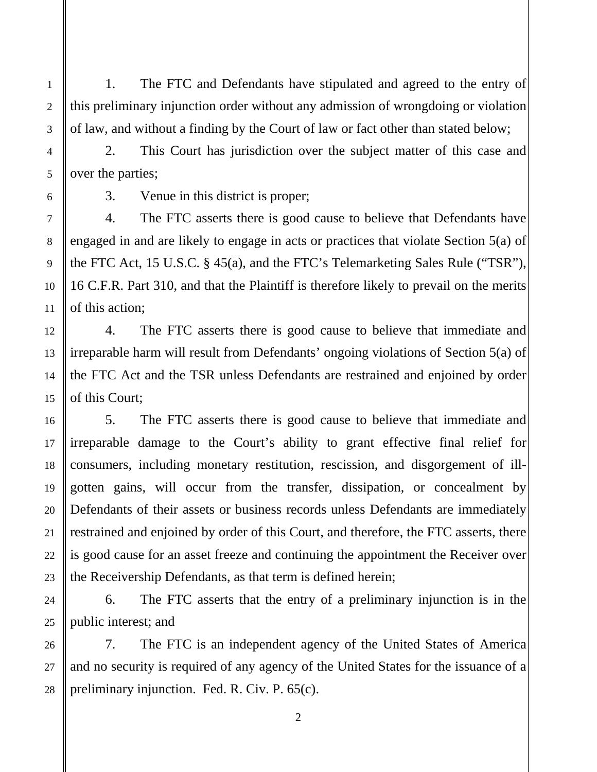1. The FTC and Defendants have stipulated and agreed to the entry of this preliminary injunction order without any admission of wrongdoing or violation of law, and without a finding by the Court of law or fact other than stated below;

2. This Court has jurisdiction over the subject matter of this case and over the parties;

1

2

3. Venue in this district is proper;

4. The FTC asserts there is good cause to believe that Defendants have engaged in and are likely to engage in acts or practices that violate Section 5(a) of the FTC Act, 15 U.S.C. § 45(a), and the FTC's Telemarketing Sales Rule ("TSR"), 16 C.F.R. Part 310, and that the Plaintiff is therefore likely to prevail on the merits of this action;

 4. The FTC asserts there is good cause to believe that immediate and irreparable harm will result from Defendants' ongoing violations of Section 5(a) of the FTC Act and the TSR unless Defendants are restrained and enjoined by order of this Court;

 5. The FTC asserts there is good cause to believe that immediate and irreparable damage to the Court's ability to grant effective final relief for consumers, including monetary restitution, rescission, and disgorgement of illgotten gains, will occur from the transfer, dissipation, or concealment by Defendants of their assets or business records unless Defendants are immediately restrained and enjoined by order of this Court, and therefore, the FTC asserts, there is good cause for an asset freeze and continuing the appointment the Receiver over the Receivership Defendants, as that term is defined herein;

6. The FTC asserts that the entry of a preliminary injunction is in the public interest; and

7. The FTC is an independent agency of the United States of America and no security is required of any agency of the United States for the issuance of a preliminary injunction. Fed. R. Civ. P. 65(c).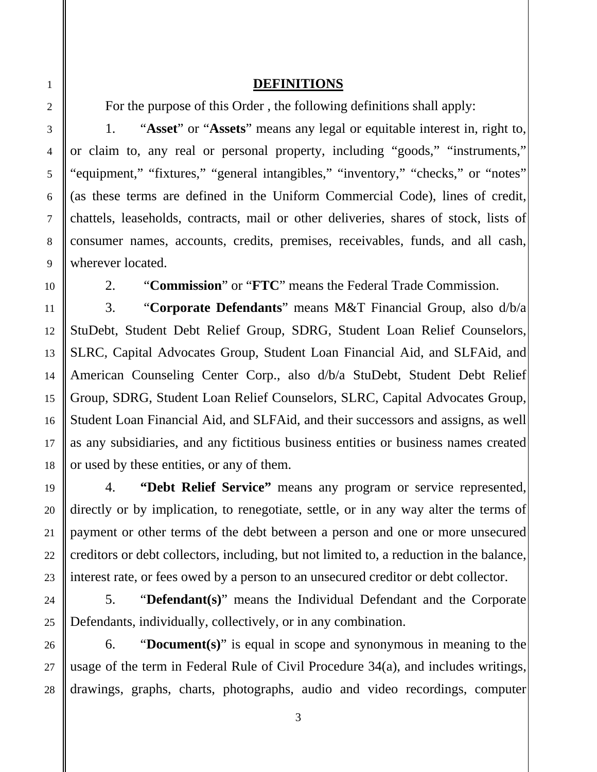# **DEFINITIONS**

For the purpose of this Order , the following definitions shall apply:

1. "**Asset**" or "**Assets**" means any legal or equitable interest in, right to, or claim to, any real or personal property, including "goods," "instruments," "equipment," "fixtures," "general intangibles," "inventory," "checks," or "notes" (as these terms are defined in the Uniform Commercial Code), lines of credit, chattels, leaseholds, contracts, mail or other deliveries, shares of stock, lists of consumer names, accounts, credits, premises, receivables, funds, and all cash, wherever located.

2. "**Commission**" or "**FTC**" means the Federal Trade Commission.

3. "**Corporate Defendants**" means M&T Financial Group, also d/b/a StuDebt, Student Debt Relief Group, SDRG, Student Loan Relief Counselors, SLRC, Capital Advocates Group, Student Loan Financial Aid, and SLFAid, and American Counseling Center Corp., also d/b/a StuDebt, Student Debt Relief Group, SDRG, Student Loan Relief Counselors, SLRC, Capital Advocates Group, Student Loan Financial Aid, and SLFAid, and their successors and assigns, as well as any subsidiaries, and any fictitious business entities or business names created or used by these entities, or any of them.

4. **"Debt Relief Service"** means any program or service represented, directly or by implication, to renegotiate, settle, or in any way alter the terms of payment or other terms of the debt between a person and one or more unsecured creditors or debt collectors, including, but not limited to, a reduction in the balance, interest rate, or fees owed by a person to an unsecured creditor or debt collector.

5. "**Defendant(s)**" means the Individual Defendant and the Corporate Defendants, individually, collectively, or in any combination.

6. "**Document(s)**" is equal in scope and synonymous in meaning to the usage of the term in Federal Rule of Civil Procedure 34(a), and includes writings, drawings, graphs, charts, photographs, audio and video recordings, computer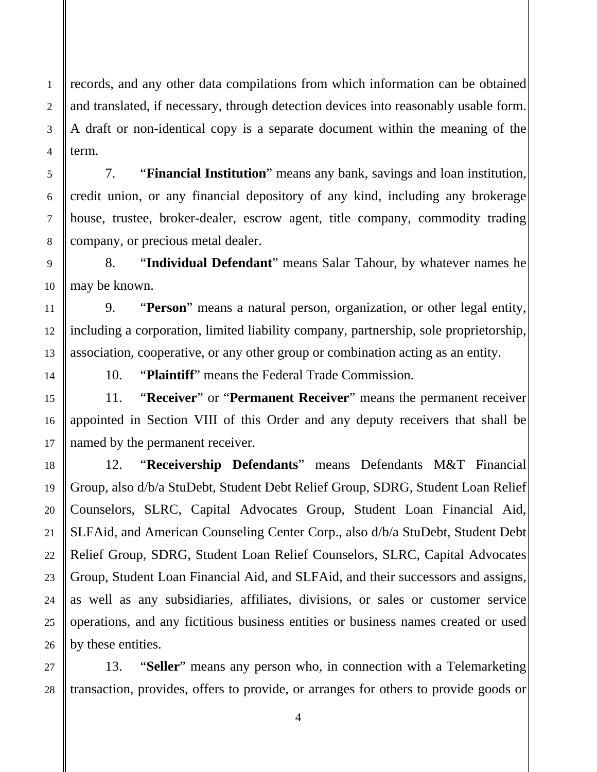records, and any other data compilations from which information can be obtained and translated, if necessary, through detection devices into reasonably usable form. A draft or non-identical copy is a separate document within the meaning of the term.

7. "**Financial Institution**" means any bank, savings and loan institution, credit union, or any financial depository of any kind, including any brokerage house, trustee, broker-dealer, escrow agent, title company, commodity trading company, or precious metal dealer.

8. "**Individual Defendant**" means Salar Tahour, by whatever names he may be known.

9. "**Person**" means a natural person, organization, or other legal entity, including a corporation, limited liability company, partnership, sole proprietorship, association, cooperative, or any other group or combination acting as an entity.

1

2

3

4

5

6

7

8

9

10

11

12

13

14

15

16

17

18

19

20

21

22

23

24

25

26

10. "**Plaintiff**" means the Federal Trade Commission.

11. "**Receiver**" or "**Permanent Receiver**" means the permanent receiver appointed in Section VIII of this Order and any deputy receivers that shall be named by the permanent receiver.

12. "**Receivership Defendants**" means Defendants M&T Financial Group, also d/b/a StuDebt, Student Debt Relief Group, SDRG, Student Loan Relief Counselors, SLRC, Capital Advocates Group, Student Loan Financial Aid, SLFAid, and American Counseling Center Corp., also d/b/a StuDebt, Student Debt Relief Group, SDRG, Student Loan Relief Counselors, SLRC, Capital Advocates Group, Student Loan Financial Aid, and SLFAid, and their successors and assigns, as well as any subsidiaries, affiliates, divisions, or sales or customer service operations, and any fictitious business entities or business names created or used by these entities.

 27 28 13. "**Seller**" means any person who, in connection with a Telemarketing transaction, provides, offers to provide, or arranges for others to provide goods or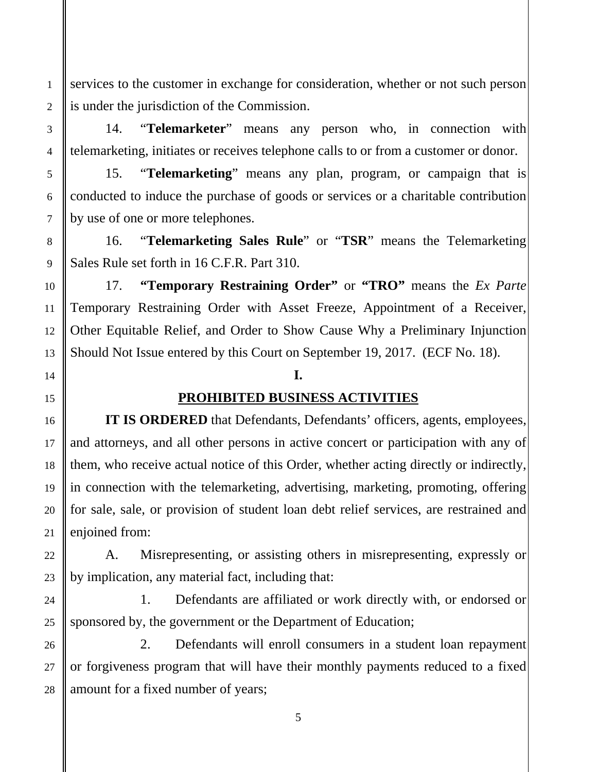services to the customer in exchange for consideration, whether or not such person is under the jurisdiction of the Commission.

14. "**Telemarketer**" means any person who, in connection with telemarketing, initiates or receives telephone calls to or from a customer or donor.

15. "**Telemarketing**" means any plan, program, or campaign that is conducted to induce the purchase of goods or services or a charitable contribution by use of one or more telephones.

16. "**Telemarketing Sales Rule**" or "**TSR**" means the Telemarketing Sales Rule set forth in 16 C.F.R. Part 310.

17. **"Temporary Restraining Order"** or **"TRO"** means the *Ex Parte*  Temporary Restraining Order with Asset Freeze, Appointment of a Receiver, Other Equitable Relief, and Order to Show Cause Why a Preliminary Injunction Should Not Issue entered by this Court on September 19, 2017. (ECF No. 18).

### **I.**

# **PROHIBITED BUSINESS ACTIVITIES**

**IT IS ORDERED** that Defendants, Defendants' officers, agents, employees, and attorneys, and all other persons in active concert or participation with any of them, who receive actual notice of this Order, whether acting directly or indirectly, in connection with the telemarketing, advertising, marketing, promoting, offering for sale, sale, or provision of student loan debt relief services, are restrained and enjoined from:

A. Misrepresenting, or assisting others in misrepresenting, expressly or by implication, any material fact, including that:

1. Defendants are affiliated or work directly with, or endorsed or sponsored by, the government or the Department of Education;

2. Defendants will enroll consumers in a student loan repayment or forgiveness program that will have their monthly payments reduced to a fixed amount for a fixed number of years;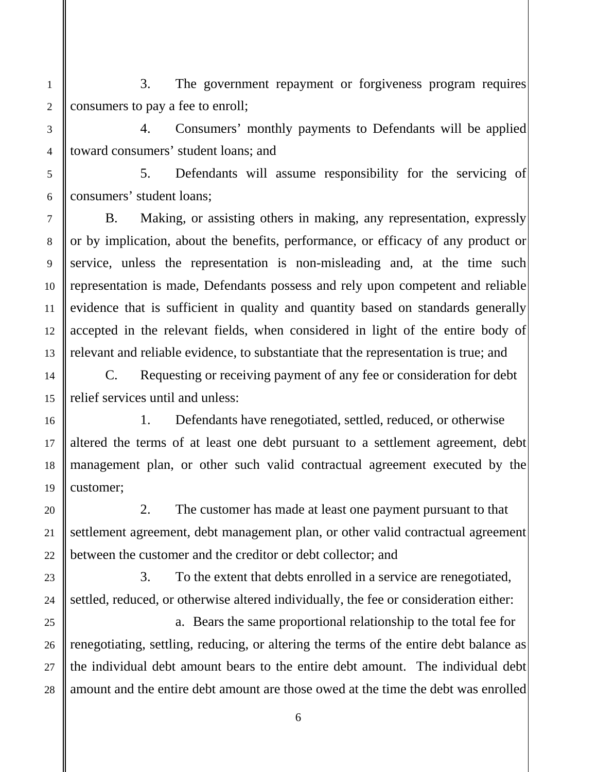1 2 3. The government repayment or forgiveness program requires consumers to pay a fee to enroll;

3

4

5

6

7

8

9

10

11

12

13

14

15

16

17

18

19

20

21

22

23

24

25

26

27

28

4. Consumers' monthly payments to Defendants will be applied toward consumers' student loans; and

5. Defendants will assume responsibility for the servicing of consumers' student loans;

B. Making, or assisting others in making, any representation, expressly or by implication, about the benefits, performance, or efficacy of any product or service, unless the representation is non-misleading and, at the time such representation is made, Defendants possess and rely upon competent and reliable evidence that is sufficient in quality and quantity based on standards generally accepted in the relevant fields, when considered in light of the entire body of relevant and reliable evidence, to substantiate that the representation is true; and

C. Requesting or receiving payment of any fee or consideration for debt relief services until and unless:

1. Defendants have renegotiated, settled, reduced, or otherwise altered the terms of at least one debt pursuant to a settlement agreement, debt management plan, or other such valid contractual agreement executed by the customer;

2. The customer has made at least one payment pursuant to that settlement agreement, debt management plan, or other valid contractual agreement between the customer and the creditor or debt collector; and

3. To the extent that debts enrolled in a service are renegotiated, settled, reduced, or otherwise altered individually, the fee or consideration either:

a. Bears the same proportional relationship to the total fee for renegotiating, settling, reducing, or altering the terms of the entire debt balance as the individual debt amount bears to the entire debt amount. The individual debt amount and the entire debt amount are those owed at the time the debt was enrolled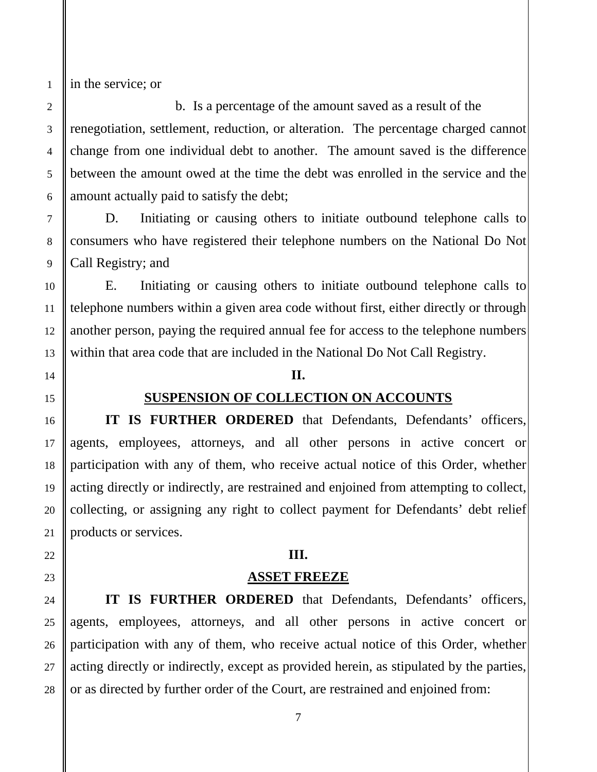in the service; or

b. Is a percentage of the amount saved as a result of the renegotiation, settlement, reduction, or alteration. The percentage charged cannot change from one individual debt to another. The amount saved is the difference between the amount owed at the time the debt was enrolled in the service and the amount actually paid to satisfy the debt;

D. Initiating or causing others to initiate outbound telephone calls to consumers who have registered their telephone numbers on the National Do Not Call Registry; and

E. Initiating or causing others to initiate outbound telephone calls to telephone numbers within a given area code without first, either directly or through another person, paying the required annual fee for access to the telephone numbers within that area code that are included in the National Do Not Call Registry.

### **II.**

### **SUSPENSION OF COLLECTION ON ACCOUNTS**

**IT IS FURTHER ORDERED** that Defendants, Defendants' officers, agents, employees, attorneys, and all other persons in active concert or participation with any of them, who receive actual notice of this Order, whether acting directly or indirectly, are restrained and enjoined from attempting to collect, collecting, or assigning any right to collect payment for Defendants' debt relief products or services.

### **III.**

### **ASSET FREEZE**

**IT IS FURTHER ORDERED** that Defendants, Defendants' officers, agents, employees, attorneys, and all other persons in active concert or participation with any of them, who receive actual notice of this Order, whether acting directly or indirectly, except as provided herein, as stipulated by the parties, or as directed by further order of the Court, are restrained and enjoined from: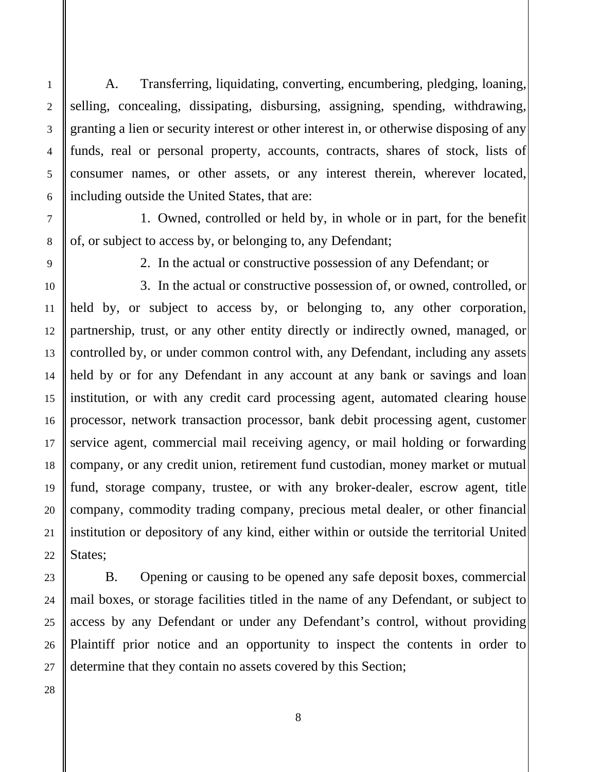A. Transferring, liquidating, converting, encumbering, pledging, loaning, selling, concealing, dissipating, disbursing, assigning, spending, withdrawing, granting a lien or security interest or other interest in, or otherwise disposing of any funds, real or personal property, accounts, contracts, shares of stock, lists of consumer names, or other assets, or any interest therein, wherever located, including outside the United States, that are:

1. Owned, controlled or held by, in whole or in part, for the benefit of, or subject to access by, or belonging to, any Defendant;

1

2

3

4

5

6

7

8

9

10

11

12

13

14

15

16

17

18

19

20

21

2. In the actual or constructive possession of any Defendant; or

3. In the actual or constructive possession of, or owned, controlled, or held by, or subject to access by, or belonging to, any other corporation, partnership, trust, or any other entity directly or indirectly owned, managed, or controlled by, or under common control with, any Defendant, including any assets held by or for any Defendant in any account at any bank or savings and loan institution, or with any credit card processing agent, automated clearing house processor, network transaction processor, bank debit processing agent, customer service agent, commercial mail receiving agency, or mail holding or forwarding company, or any credit union, retirement fund custodian, money market or mutual fund, storage company, trustee, or with any broker-dealer, escrow agent, title company, commodity trading company, precious metal dealer, or other financial institution or depository of any kind, either within or outside the territorial United States;

B. Opening or causing to be opened any safe deposit boxes, commercial mail boxes, or storage facilities titled in the name of any Defendant, or subject to access by any Defendant or under any Defendant's control, without providing Plaintiff prior notice and an opportunity to inspect the contents in order to determine that they contain no assets covered by this Section;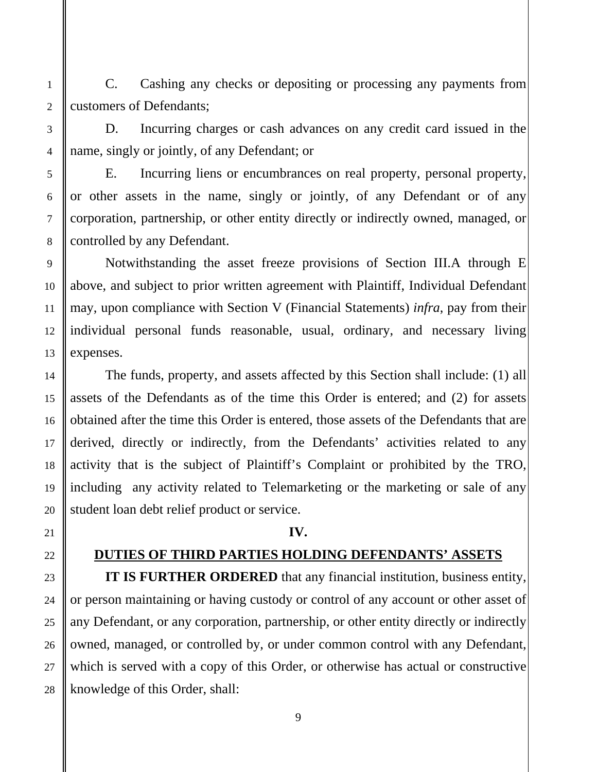C. Cashing any checks or depositing or processing any payments from customers of Defendants;

D. Incurring charges or cash advances on any credit card issued in the name, singly or jointly, of any Defendant; or

 E. Incurring liens or encumbrances on real property, personal property, or other assets in the name, singly or jointly, of any Defendant or of any corporation, partnership, or other entity directly or indirectly owned, managed, or controlled by any Defendant.

 Notwithstanding the asset freeze provisions of Section III.A through E above, and subject to prior written agreement with Plaintiff, Individual Defendant may, upon compliance with Section V (Financial Statements) *infra*, pay from their individual personal funds reasonable, usual, ordinary, and necessary living expenses.

 The funds, property, and assets affected by this Section shall include: (1) all assets of the Defendants as of the time this Order is entered; and (2) for assets obtained after the time this Order is entered, those assets of the Defendants that are derived, directly or indirectly, from the Defendants' activities related to any activity that is the subject of Plaintiff's Complaint or prohibited by the TRO, including any activity related to Telemarketing or the marketing or sale of any student loan debt relief product or service.

### **IV.**

### **DUTIES OF THIRD PARTIES HOLDING DEFENDANTS' ASSETS**

**IT IS FURTHER ORDERED** that any financial institution, business entity, or person maintaining or having custody or control of any account or other asset of any Defendant, or any corporation, partnership, or other entity directly or indirectly owned, managed, or controlled by, or under common control with any Defendant, which is served with a copy of this Order, or otherwise has actual or constructive knowledge of this Order, shall: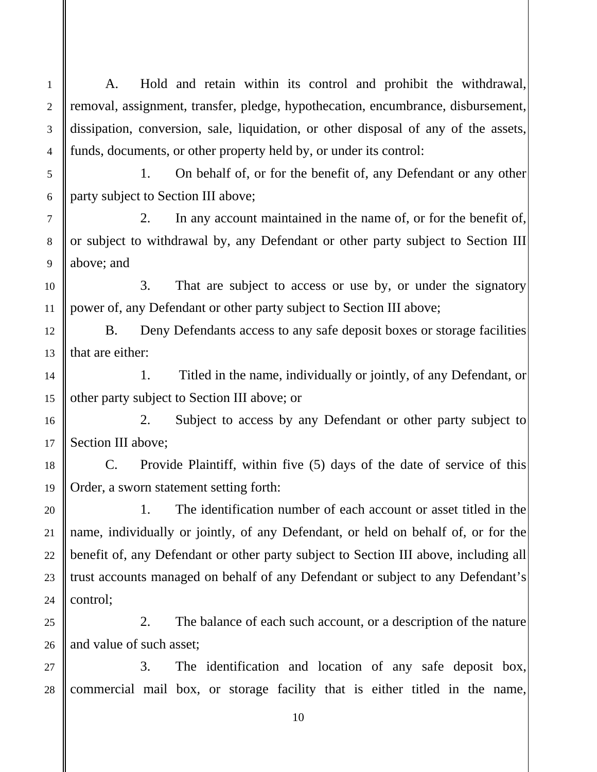A. Hold and retain within its control and prohibit the withdrawal, removal, assignment, transfer, pledge, hypothecation, encumbrance, disbursement, dissipation, conversion, sale, liquidation, or other disposal of any of the assets, funds, documents, or other property held by, or under its control:

1

2

3

4

5

6

7

8

9

10

11

12

13

14

15

16

17

18

19

20

21

22

23

24

25

26

 1. On behalf of, or for the benefit of, any Defendant or any other party subject to Section III above;

 2. In any account maintained in the name of, or for the benefit of, or subject to withdrawal by, any Defendant or other party subject to Section III above; and

 3. That are subject to access or use by, or under the signatory power of, any Defendant or other party subject to Section III above;

 B. Deny Defendants access to any safe deposit boxes or storage facilities that are either:

 1. Titled in the name, individually or jointly, of any Defendant, or other party subject to Section III above; or

 2. Subject to access by any Defendant or other party subject to Section III above;

 C. Provide Plaintiff, within five (5) days of the date of service of this Order, a sworn statement setting forth:

 1. The identification number of each account or asset titled in the name, individually or jointly, of any Defendant, or held on behalf of, or for the benefit of, any Defendant or other party subject to Section III above, including all trust accounts managed on behalf of any Defendant or subject to any Defendant's control;

 2. The balance of each such account, or a description of the nature and value of such asset;

 27 28 3. The identification and location of any safe deposit box, commercial mail box, or storage facility that is either titled in the name,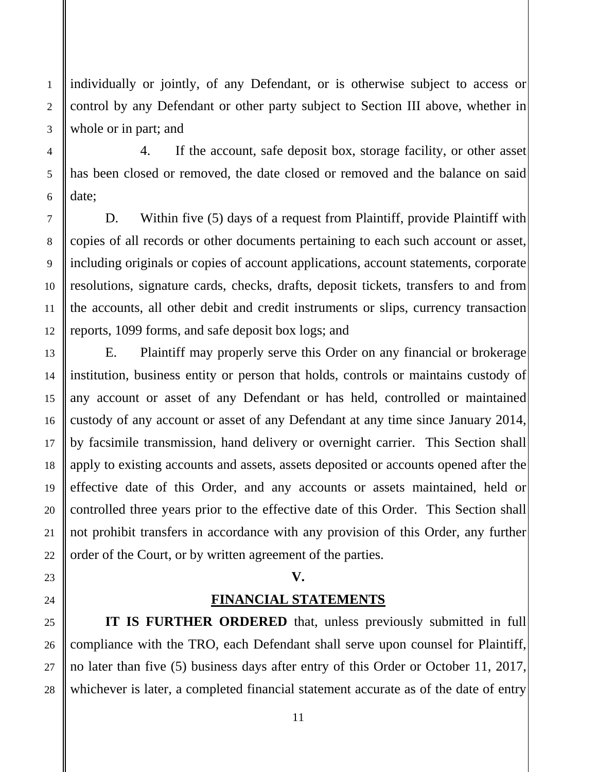individually or jointly, of any Defendant, or is otherwise subject to access or control by any Defendant or other party subject to Section III above, whether in whole or in part; and

 4. If the account, safe deposit box, storage facility, or other asset has been closed or removed, the date closed or removed and the balance on said date;

D. Within five (5) days of a request from Plaintiff, provide Plaintiff with copies of all records or other documents pertaining to each such account or asset, including originals or copies of account applications, account statements, corporate resolutions, signature cards, checks, drafts, deposit tickets, transfers to and from the accounts, all other debit and credit instruments or slips, currency transaction reports, 1099 forms, and safe deposit box logs; and

 E. Plaintiff may properly serve this Order on any financial or brokerage institution, business entity or person that holds, controls or maintains custody of any account or asset of any Defendant or has held, controlled or maintained custody of any account or asset of any Defendant at any time since January 2014, by facsimile transmission, hand delivery or overnight carrier. This Section shall apply to existing accounts and assets, assets deposited or accounts opened after the effective date of this Order, and any accounts or assets maintained, held or controlled three years prior to the effective date of this Order. This Section shall not prohibit transfers in accordance with any provision of this Order, any further order of the Court, or by written agreement of the parties.

# **V.**

# **FINANCIAL STATEMENTS**

**IT IS FURTHER ORDERED** that, unless previously submitted in full compliance with the TRO, each Defendant shall serve upon counsel for Plaintiff, no later than five (5) business days after entry of this Order or October 11, 2017, whichever is later, a completed financial statement accurate as of the date of entry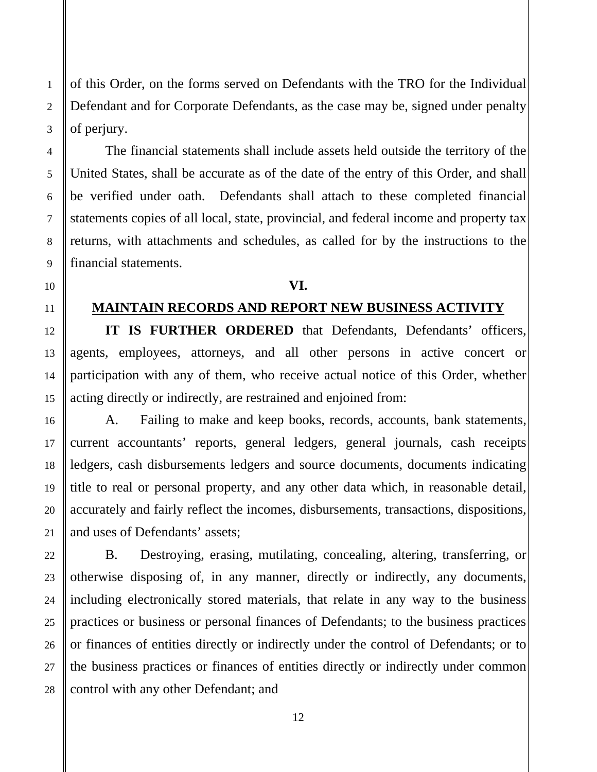of this Order, on the forms served on Defendants with the TRO for the Individual Defendant and for Corporate Defendants, as the case may be, signed under penalty of perjury.

 The financial statements shall include assets held outside the territory of the United States, shall be accurate as of the date of the entry of this Order, and shall be verified under oath. Defendants shall attach to these completed financial statements copies of all local, state, provincial, and federal income and property tax returns, with attachments and schedules, as called for by the instructions to the financial statements.

### **VI.**

# **MAINTAIN RECORDS AND REPORT NEW BUSINESS ACTIVITY**

**IT IS FURTHER ORDERED** that Defendants, Defendants' officers, agents, employees, attorneys, and all other persons in active concert or participation with any of them, who receive actual notice of this Order, whether acting directly or indirectly, are restrained and enjoined from:

 A. Failing to make and keep books, records, accounts, bank statements, current accountants' reports, general ledgers, general journals, cash receipts ledgers, cash disbursements ledgers and source documents, documents indicating title to real or personal property, and any other data which, in reasonable detail, accurately and fairly reflect the incomes, disbursements, transactions, dispositions, and uses of Defendants' assets;

 B. Destroying, erasing, mutilating, concealing, altering, transferring, or otherwise disposing of, in any manner, directly or indirectly, any documents, including electronically stored materials, that relate in any way to the business practices or business or personal finances of Defendants; to the business practices or finances of entities directly or indirectly under the control of Defendants; or to the business practices or finances of entities directly or indirectly under common control with any other Defendant; and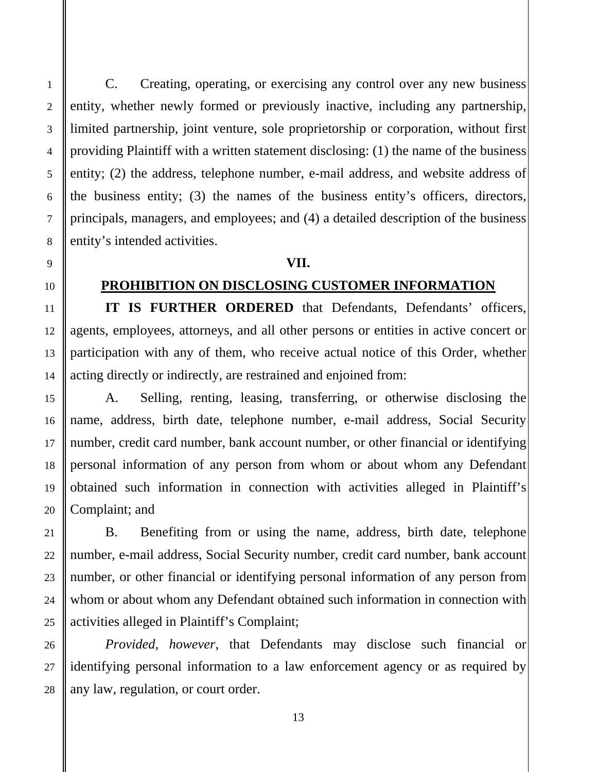C. Creating, operating, or exercising any control over any new business entity, whether newly formed or previously inactive, including any partnership, limited partnership, joint venture, sole proprietorship or corporation, without first providing Plaintiff with a written statement disclosing: (1) the name of the business entity; (2) the address, telephone number, e-mail address, and website address of the business entity; (3) the names of the business entity's officers, directors, principals, managers, and employees; and (4) a detailed description of the business entity's intended activities.

### **VII.**

# **PROHIBITION ON DISCLOSING CUSTOMER INFORMATION**

**IT IS FURTHER ORDERED** that Defendants, Defendants' officers, agents, employees, attorneys, and all other persons or entities in active concert or participation with any of them, who receive actual notice of this Order, whether acting directly or indirectly, are restrained and enjoined from:

 A. Selling, renting, leasing, transferring, or otherwise disclosing the name, address, birth date, telephone number, e-mail address, Social Security number, credit card number, bank account number, or other financial or identifying personal information of any person from whom or about whom any Defendant obtained such information in connection with activities alleged in Plaintiff's Complaint; and

 B. Benefiting from or using the name, address, birth date, telephone number, e-mail address, Social Security number, credit card number, bank account number, or other financial or identifying personal information of any person from whom or about whom any Defendant obtained such information in connection with activities alleged in Plaintiff's Complaint;

*Provided, however,* that Defendants may disclose such financial or identifying personal information to a law enforcement agency or as required by any law, regulation, or court order.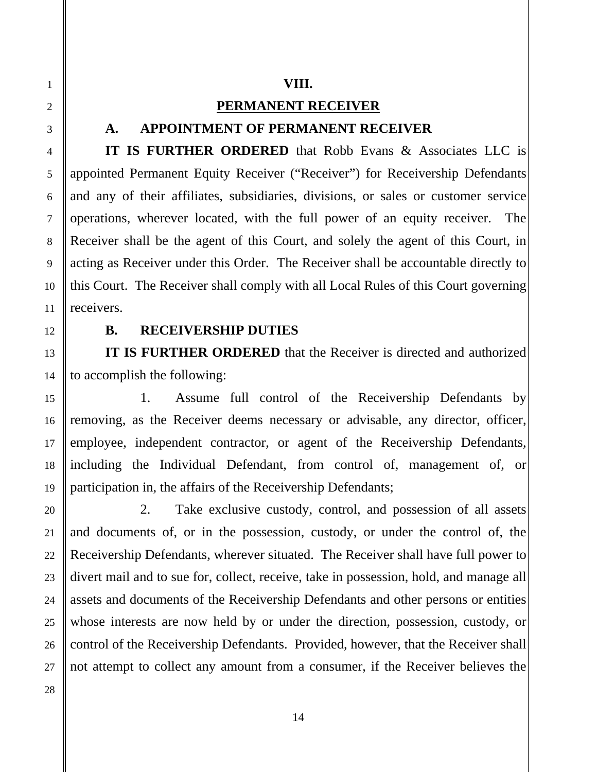# **PERMANENT RECEIVER**

# **A. APPOINTMENT OF PERMANENT RECEIVER**

**IT IS FURTHER ORDERED** that Robb Evans & Associates LLC is appointed Permanent Equity Receiver ("Receiver") for Receivership Defendants and any of their affiliates, subsidiaries, divisions, or sales or customer service operations, wherever located, with the full power of an equity receiver. The Receiver shall be the agent of this Court, and solely the agent of this Court, in acting as Receiver under this Order. The Receiver shall be accountable directly to this Court. The Receiver shall comply with all Local Rules of this Court governing receivers.

# **B. RECEIVERSHIP DUTIES**

**IT IS FURTHER ORDERED** that the Receiver is directed and authorized to accomplish the following:

 1. Assume full control of the Receivership Defendants by removing, as the Receiver deems necessary or advisable, any director, officer, employee, independent contractor, or agent of the Receivership Defendants, including the Individual Defendant, from control of, management of, or participation in, the affairs of the Receivership Defendants;

 2. Take exclusive custody, control, and possession of all assets and documents of, or in the possession, custody, or under the control of, the Receivership Defendants, wherever situated. The Receiver shall have full power to divert mail and to sue for, collect, receive, take in possession, hold, and manage all assets and documents of the Receivership Defendants and other persons or entities whose interests are now held by or under the direction, possession, custody, or control of the Receivership Defendants. Provided, however, that the Receiver shall not attempt to collect any amount from a consumer, if the Receiver believes the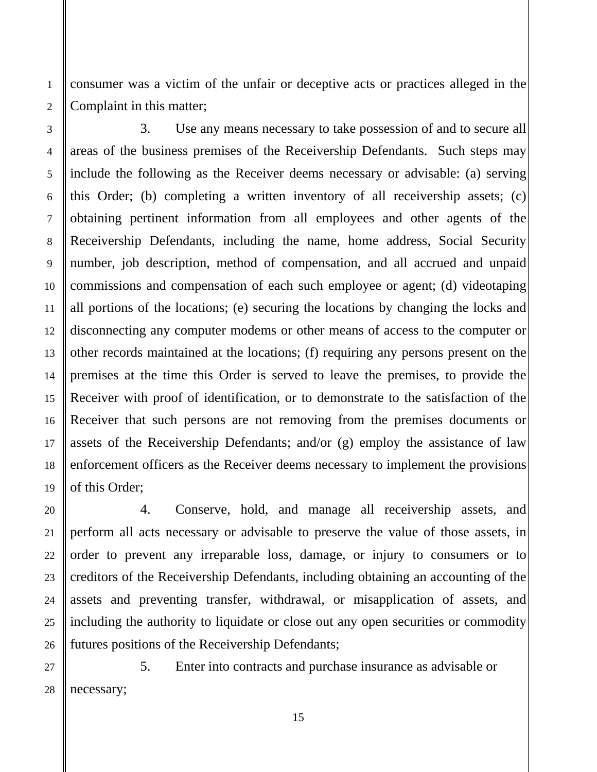consumer was a victim of the unfair or deceptive acts or practices alleged in the Complaint in this matter;

1

2

3

4

5

6

7

8

9

10

11

12

13

14

15

16

17

18

19

20

21

22

23

24

25

26

 3. Use any means necessary to take possession of and to secure all areas of the business premises of the Receivership Defendants. Such steps may include the following as the Receiver deems necessary or advisable: (a) serving this Order; (b) completing a written inventory of all receivership assets; (c) obtaining pertinent information from all employees and other agents of the Receivership Defendants, including the name, home address, Social Security number, job description, method of compensation, and all accrued and unpaid commissions and compensation of each such employee or agent; (d) videotaping all portions of the locations; (e) securing the locations by changing the locks and disconnecting any computer modems or other means of access to the computer or other records maintained at the locations; (f) requiring any persons present on the premises at the time this Order is served to leave the premises, to provide the Receiver with proof of identification, or to demonstrate to the satisfaction of the Receiver that such persons are not removing from the premises documents or assets of the Receivership Defendants; and/or (g) employ the assistance of law enforcement officers as the Receiver deems necessary to implement the provisions of this Order;

 4. Conserve, hold, and manage all receivership assets, and perform all acts necessary or advisable to preserve the value of those assets, in order to prevent any irreparable loss, damage, or injury to consumers or to creditors of the Receivership Defendants, including obtaining an accounting of the assets and preventing transfer, withdrawal, or misapplication of assets, and including the authority to liquidate or close out any open securities or commodity futures positions of the Receivership Defendants;

 27 28 5. Enter into contracts and purchase insurance as advisable or necessary;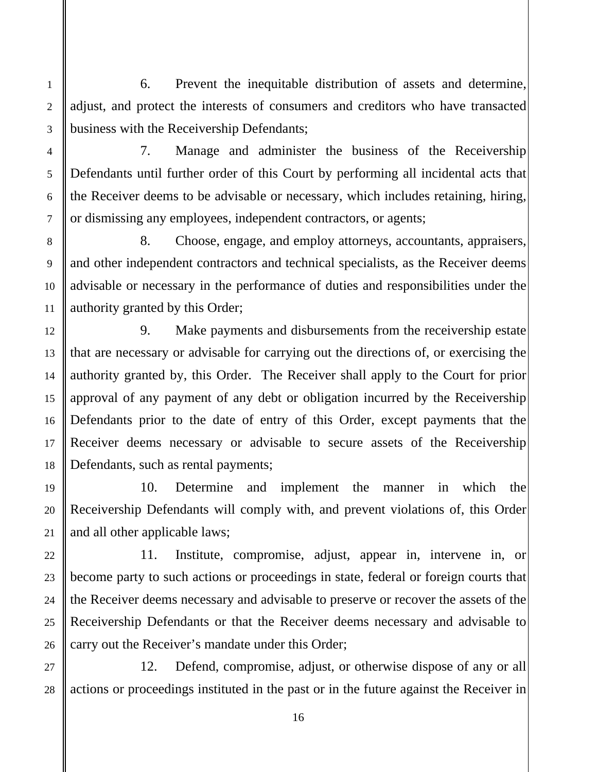6. Prevent the inequitable distribution of assets and determine, adjust, and protect the interests of consumers and creditors who have transacted business with the Receivership Defendants;

7. Manage and administer the business of the Receivership Defendants until further order of this Court by performing all incidental acts that the Receiver deems to be advisable or necessary, which includes retaining, hiring, or dismissing any employees, independent contractors, or agents;

 8. Choose, engage, and employ attorneys, accountants, appraisers, and other independent contractors and technical specialists, as the Receiver deems advisable or necessary in the performance of duties and responsibilities under the authority granted by this Order;

 9. Make payments and disbursements from the receivership estate that are necessary or advisable for carrying out the directions of, or exercising the authority granted by, this Order. The Receiver shall apply to the Court for prior approval of any payment of any debt or obligation incurred by the Receivership Defendants prior to the date of entry of this Order, except payments that the Receiver deems necessary or advisable to secure assets of the Receivership Defendants, such as rental payments;

10. Determine and implement the manner in which the Receivership Defendants will comply with, and prevent violations of, this Order and all other applicable laws;

11. Institute, compromise, adjust, appear in, intervene in, or become party to such actions or proceedings in state, federal or foreign courts that the Receiver deems necessary and advisable to preserve or recover the assets of the Receivership Defendants or that the Receiver deems necessary and advisable to carry out the Receiver's mandate under this Order;

 12. Defend, compromise, adjust, or otherwise dispose of any or all actions or proceedings instituted in the past or in the future against the Receiver in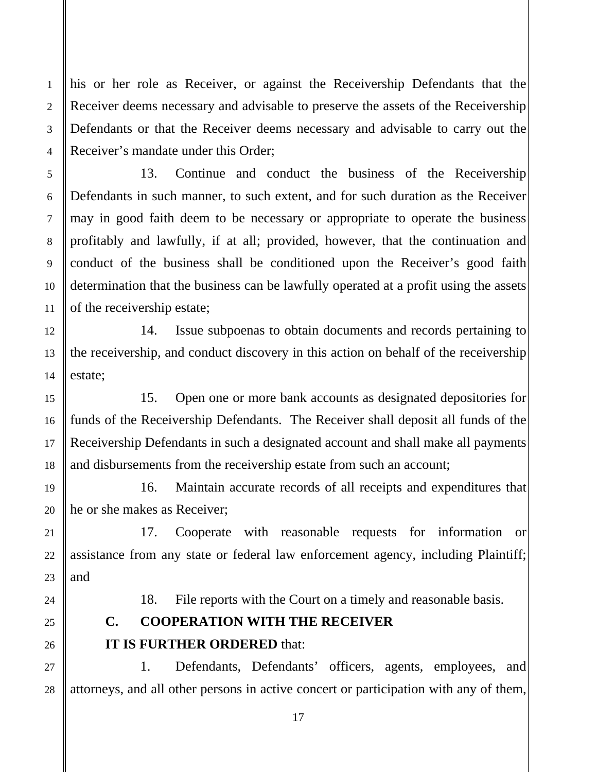his or her role as Receiver, or against the Receivership Defendants that the Receiver deems necessary and advisable to preserve the assets of the Receivership Defendants or that the Receiver deems necessary and advisable to carry out the Receiver's mandate under this Order;

13. Continue and conduct the business of the Receivership Defendants in such manner, to such extent, and for such duration as the Receiver may in good faith deem to be necessary or appropriate to operate the business profitably and lawfully, if at all; provided, however, that the continuation and conduct of the business shall be conditioned upon the Receiver's good faith determination that the business can be lawfully operated at a profit using the assets of the receivership estate;

 14. Issue subpoenas to obtain documents and records pertaining to the receivership, and conduct discovery in this action on behalf of the receivership estate;

 15. Open one or more bank accounts as designated depositories for funds of the Receivership Defendants. The Receiver shall deposit all funds of the Receivership Defendants in such a designated account and shall make all payments and disbursements from the receivership estate from such an account;

 16. Maintain accurate records of all receipts and expenditures that he or she makes as Receiver;

 17. Cooperate with reasonable requests for information or assistance from any state or federal law enforcement agency, including Plaintiff; and

18. File reports with the Court on a timely and reasonable basis.

# **C. COOPERATION WITH THE RECEIVER IT IS FURTHER ORDERED** that:

 1. Defendants, Defendants' officers, agents, employees, and attorneys, and all other persons in active concert or participation with any of them,

1

2

3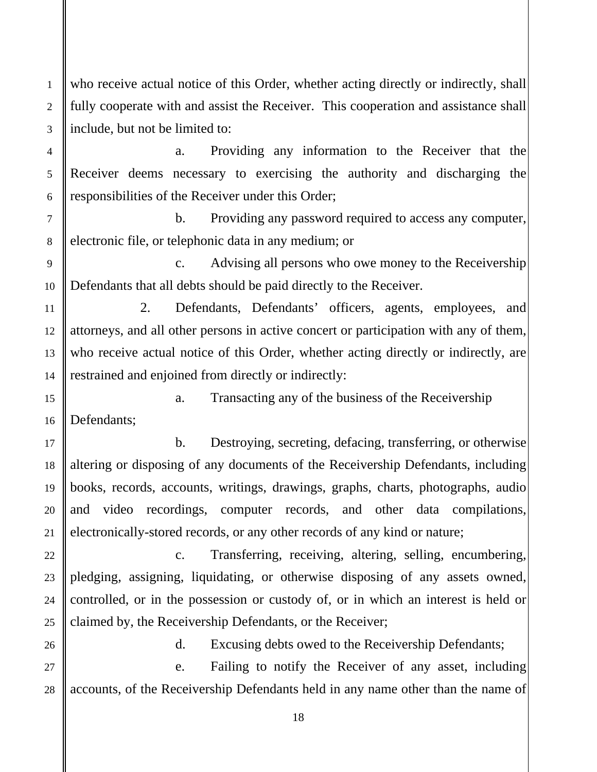who receive actual notice of this Order, whether acting directly or indirectly, shall fully cooperate with and assist the Receiver. This cooperation and assistance shall include, but not be limited to:

a. Providing any information to the Receiver that the Receiver deems necessary to exercising the authority and discharging the responsibilities of the Receiver under this Order;

b. Providing any password required to access any computer, electronic file, or telephonic data in any medium; or

c. Advising all persons who owe money to the Receivership Defendants that all debts should be paid directly to the Receiver.

2. Defendants, Defendants' officers, agents, employees, and attorneys, and all other persons in active concert or participation with any of them, who receive actual notice of this Order, whether acting directly or indirectly, are restrained and enjoined from directly or indirectly:

a. Transacting any of the business of the Receivership Defendants;

 b. Destroying, secreting, defacing, transferring, or otherwise altering or disposing of any documents of the Receivership Defendants, including books, records, accounts, writings, drawings, graphs, charts, photographs, audio and video recordings, computer records, and other data compilations, electronically-stored records, or any other records of any kind or nature;

 c. Transferring, receiving, altering, selling, encumbering, pledging, assigning, liquidating, or otherwise disposing of any assets owned, controlled, or in the possession or custody of, or in which an interest is held or claimed by, the Receivership Defendants, or the Receiver;

d. Excusing debts owed to the Receivership Defendants;

 e. Failing to notify the Receiver of any asset, including accounts, of the Receivership Defendants held in any name other than the name of

1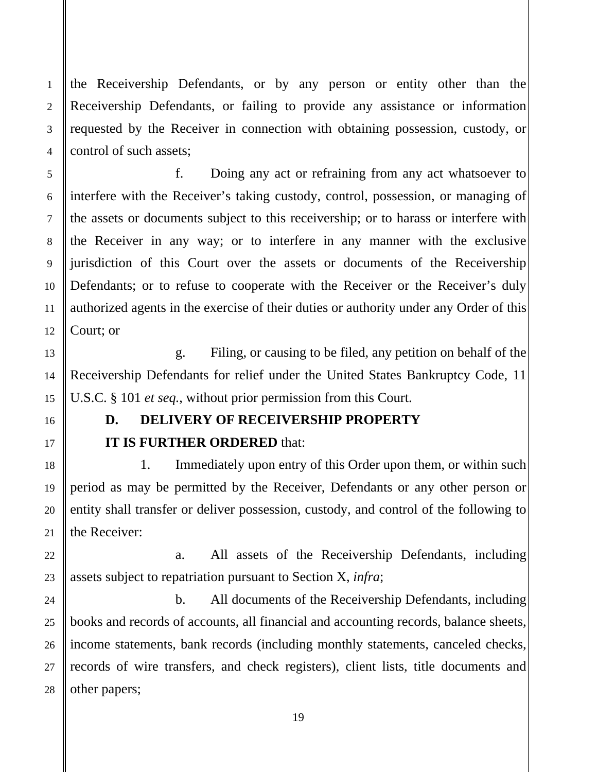the Receivership Defendants, or by any person or entity other than the Receivership Defendants, or failing to provide any assistance or information requested by the Receiver in connection with obtaining possession, custody, or control of such assets;

 f. Doing any act or refraining from any act whatsoever to interfere with the Receiver's taking custody, control, possession, or managing of the assets or documents subject to this receivership; or to harass or interfere with the Receiver in any way; or to interfere in any manner with the exclusive jurisdiction of this Court over the assets or documents of the Receivership Defendants; or to refuse to cooperate with the Receiver or the Receiver's duly authorized agents in the exercise of their duties or authority under any Order of this Court; or

 g. Filing, or causing to be filed, any petition on behalf of the Receivership Defendants for relief under the United States Bankruptcy Code, 11 U.S.C. § 101 *et seq.*, without prior permission from this Court.

1

2

3

4

5

6

7

8

9

10

11

12

13

14

15

16

17

18

19

20

21

22

23

24

25

26

27

28

# **D. DELIVERY OF RECEIVERSHIP PROPERTY IT IS FURTHER ORDERED** that:

 1. Immediately upon entry of this Order upon them, or within such period as may be permitted by the Receiver, Defendants or any other person or entity shall transfer or deliver possession, custody, and control of the following to the Receiver:

 a. All assets of the Receivership Defendants, including assets subject to repatriation pursuant to Section X, *infra*;

 b. All documents of the Receivership Defendants, including books and records of accounts, all financial and accounting records, balance sheets, income statements, bank records (including monthly statements, canceled checks, records of wire transfers, and check registers), client lists, title documents and other papers;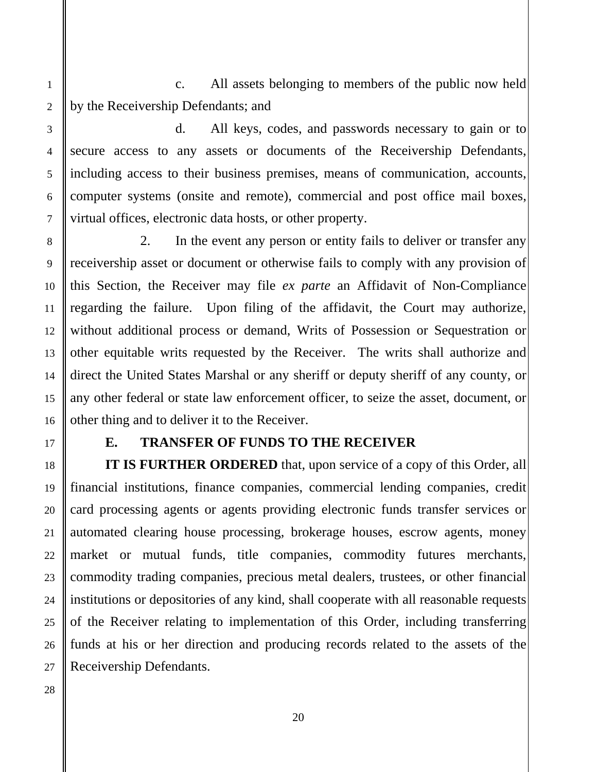c. All assets belonging to members of the public now held by the Receivership Defendants; and

 d. All keys, codes, and passwords necessary to gain or to secure access to any assets or documents of the Receivership Defendants, including access to their business premises, means of communication, accounts, computer systems (onsite and remote), commercial and post office mail boxes, virtual offices, electronic data hosts, or other property.

 2. In the event any person or entity fails to deliver or transfer any receivership asset or document or otherwise fails to comply with any provision of this Section, the Receiver may file *ex parte* an Affidavit of Non-Compliance regarding the failure. Upon filing of the affidavit, the Court may authorize, without additional process or demand, Writs of Possession or Sequestration or other equitable writs requested by the Receiver. The writs shall authorize and direct the United States Marshal or any sheriff or deputy sheriff of any county, or any other federal or state law enforcement officer, to seize the asset, document, or other thing and to deliver it to the Receiver.

# **E. TRANSFER OF FUNDS TO THE RECEIVER**

**IT IS FURTHER ORDERED** that, upon service of a copy of this Order, all financial institutions, finance companies, commercial lending companies, credit card processing agents or agents providing electronic funds transfer services or automated clearing house processing, brokerage houses, escrow agents, money market or mutual funds, title companies, commodity futures merchants, commodity trading companies, precious metal dealers, trustees, or other financial institutions or depositories of any kind, shall cooperate with all reasonable requests of the Receiver relating to implementation of this Order, including transferring funds at his or her direction and producing records related to the assets of the Receivership Defendants.

1

2

3

4

5

6

7

8

9

10

11

12

13

14

15

16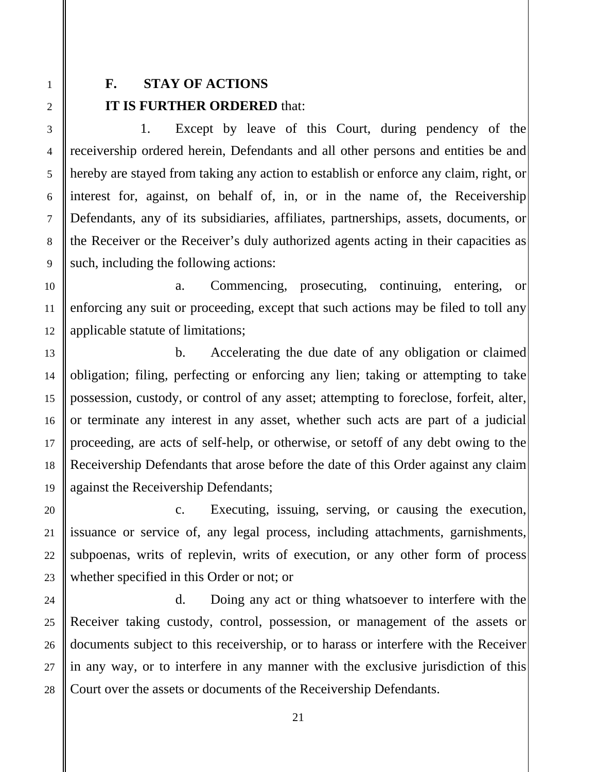# **F. STAY OF ACTIONS IT IS FURTHER ORDERED** that:

 1. Except by leave of this Court, during pendency of the receivership ordered herein, Defendants and all other persons and entities be and hereby are stayed from taking any action to establish or enforce any claim, right, or interest for, against, on behalf of, in, or in the name of, the Receivership Defendants, any of its subsidiaries, affiliates, partnerships, assets, documents, or the Receiver or the Receiver's duly authorized agents acting in their capacities as such, including the following actions:

 a. Commencing, prosecuting, continuing, entering, or enforcing any suit or proceeding, except that such actions may be filed to toll any applicable statute of limitations;

 b. Accelerating the due date of any obligation or claimed obligation; filing, perfecting or enforcing any lien; taking or attempting to take possession, custody, or control of any asset; attempting to foreclose, forfeit, alter, or terminate any interest in any asset, whether such acts are part of a judicial proceeding, are acts of self-help, or otherwise, or setoff of any debt owing to the Receivership Defendants that arose before the date of this Order against any claim against the Receivership Defendants;

 c. Executing, issuing, serving, or causing the execution, issuance or service of, any legal process, including attachments, garnishments, subpoenas, writs of replevin, writs of execution, or any other form of process whether specified in this Order or not; or

 d. Doing any act or thing whatsoever to interfere with the Receiver taking custody, control, possession, or management of the assets or documents subject to this receivership, or to harass or interfere with the Receiver in any way, or to interfere in any manner with the exclusive jurisdiction of this Court over the assets or documents of the Receivership Defendants.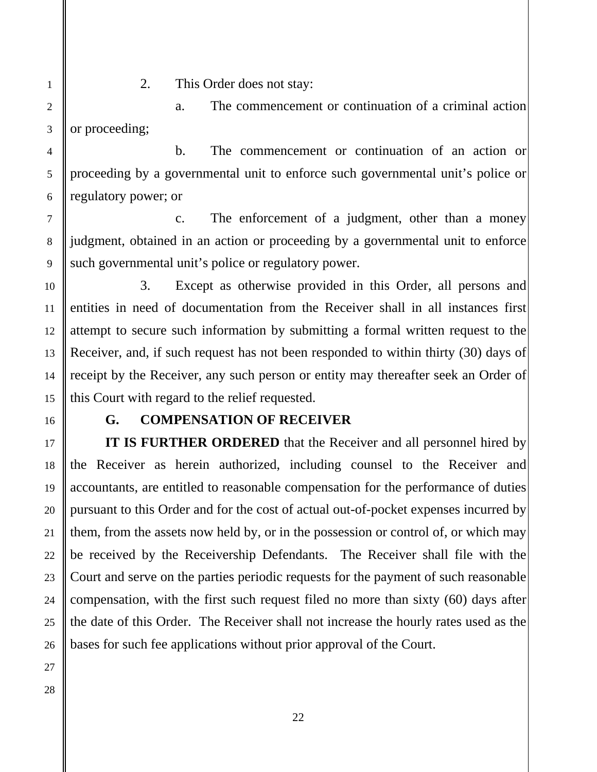2. This Order does not stay:

 a. The commencement or continuation of a criminal action or proceeding;

 b. The commencement or continuation of an action or proceeding by a governmental unit to enforce such governmental unit's police or regulatory power; or

 c. The enforcement of a judgment, other than a money judgment, obtained in an action or proceeding by a governmental unit to enforce such governmental unit's police or regulatory power.

 3. Except as otherwise provided in this Order, all persons and entities in need of documentation from the Receiver shall in all instances first attempt to secure such information by submitting a formal written request to the Receiver, and, if such request has not been responded to within thirty (30) days of receipt by the Receiver, any such person or entity may thereafter seek an Order of this Court with regard to the relief requested.

# **G. COMPENSATION OF RECEIVER**

**IT IS FURTHER ORDERED** that the Receiver and all personnel hired by the Receiver as herein authorized, including counsel to the Receiver and accountants, are entitled to reasonable compensation for the performance of duties pursuant to this Order and for the cost of actual out-of-pocket expenses incurred by them, from the assets now held by, or in the possession or control of, or which may be received by the Receivership Defendants. The Receiver shall file with the Court and serve on the parties periodic requests for the payment of such reasonable compensation, with the first such request filed no more than sixty (60) days after the date of this Order. The Receiver shall not increase the hourly rates used as the bases for such fee applications without prior approval of the Court.

1

2

3

4

5

6

7

8

9

10

11

12

13

14

15

16

17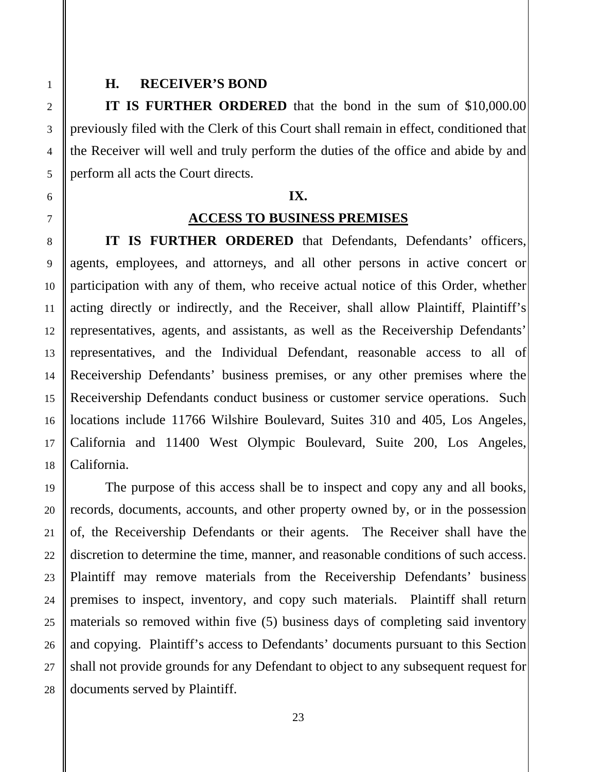### **H. RECEIVER'S BOND**

**IT IS FURTHER ORDERED** that the bond in the sum of \$10,000.00 previously filed with the Clerk of this Court shall remain in effect, conditioned that the Receiver will well and truly perform the duties of the office and abide by and perform all acts the Court directs.

### **IX.**

### **ACCESS TO BUSINESS PREMISES**

**IT IS FURTHER ORDERED** that Defendants, Defendants' officers, agents, employees, and attorneys, and all other persons in active concert or participation with any of them, who receive actual notice of this Order, whether acting directly or indirectly, and the Receiver, shall allow Plaintiff, Plaintiff's representatives, agents, and assistants, as well as the Receivership Defendants' representatives, and the Individual Defendant, reasonable access to all of Receivership Defendants' business premises, or any other premises where the Receivership Defendants conduct business or customer service operations. Such locations include 11766 Wilshire Boulevard, Suites 310 and 405, Los Angeles, California and 11400 West Olympic Boulevard, Suite 200, Los Angeles, California.

 The purpose of this access shall be to inspect and copy any and all books, records, documents, accounts, and other property owned by, or in the possession of, the Receivership Defendants or their agents. The Receiver shall have the discretion to determine the time, manner, and reasonable conditions of such access. Plaintiff may remove materials from the Receivership Defendants' business premises to inspect, inventory, and copy such materials. Plaintiff shall return materials so removed within five (5) business days of completing said inventory and copying. Plaintiff's access to Defendants' documents pursuant to this Section shall not provide grounds for any Defendant to object to any subsequent request for documents served by Plaintiff.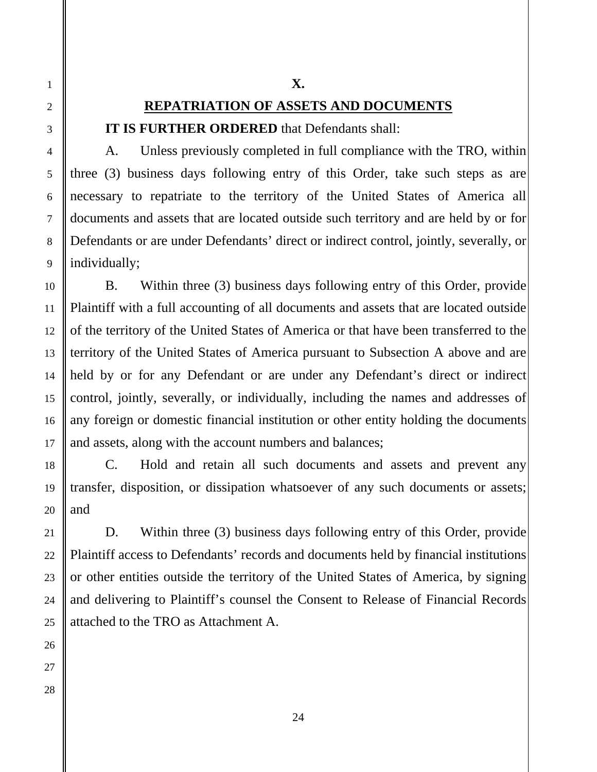# **REPATRIATION OF ASSETS AND DOCUMENTS IT IS FURTHER ORDERED** that Defendants shall:

 A. Unless previously completed in full compliance with the TRO, within three (3) business days following entry of this Order, take such steps as are necessary to repatriate to the territory of the United States of America all documents and assets that are located outside such territory and are held by or for Defendants or are under Defendants' direct or indirect control, jointly, severally, or individually;

**X.** 

B. Within three (3) business days following entry of this Order, provide Plaintiff with a full accounting of all documents and assets that are located outside of the territory of the United States of America or that have been transferred to the territory of the United States of America pursuant to Subsection A above and are held by or for any Defendant or are under any Defendant's direct or indirect control, jointly, severally, or individually, including the names and addresses of any foreign or domestic financial institution or other entity holding the documents and assets, along with the account numbers and balances;

 C. Hold and retain all such documents and assets and prevent any transfer, disposition, or dissipation whatsoever of any such documents or assets; and

 D. Within three (3) business days following entry of this Order, provide Plaintiff access to Defendants' records and documents held by financial institutions or other entities outside the territory of the United States of America, by signing and delivering to Plaintiff's counsel the Consent to Release of Financial Records attached to the TRO as Attachment A.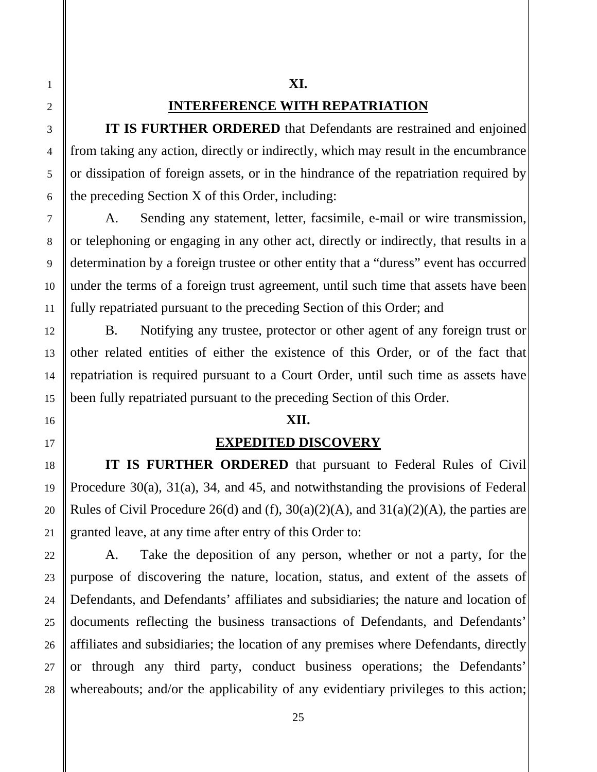# **XI.**

# **INTERFERENCE WITH REPATRIATION**

**IT IS FURTHER ORDERED** that Defendants are restrained and enjoined from taking any action, directly or indirectly, which may result in the encumbrance or dissipation of foreign assets, or in the hindrance of the repatriation required by the preceding Section X of this Order, including:

 A. Sending any statement, letter, facsimile, e-mail or wire transmission, or telephoning or engaging in any other act, directly or indirectly, that results in a determination by a foreign trustee or other entity that a "duress" event has occurred under the terms of a foreign trust agreement, until such time that assets have been fully repatriated pursuant to the preceding Section of this Order; and

B. Notifying any trustee, protector or other agent of any foreign trust or other related entities of either the existence of this Order, or of the fact that repatriation is required pursuant to a Court Order, until such time as assets have been fully repatriated pursuant to the preceding Section of this Order.

# **XII.**

# **EXPEDITED DISCOVERY**

**IT IS FURTHER ORDERED** that pursuant to Federal Rules of Civil Procedure 30(a), 31(a), 34, and 45, and notwithstanding the provisions of Federal Rules of Civil Procedure 26(d) and (f),  $30(a)(2)(A)$ , and  $31(a)(2)(A)$ , the parties are granted leave, at any time after entry of this Order to:

 A. Take the deposition of any person, whether or not a party, for the purpose of discovering the nature, location, status, and extent of the assets of Defendants, and Defendants' affiliates and subsidiaries; the nature and location of documents reflecting the business transactions of Defendants, and Defendants' affiliates and subsidiaries; the location of any premises where Defendants, directly or through any third party, conduct business operations; the Defendants' whereabouts; and/or the applicability of any evidentiary privileges to this action;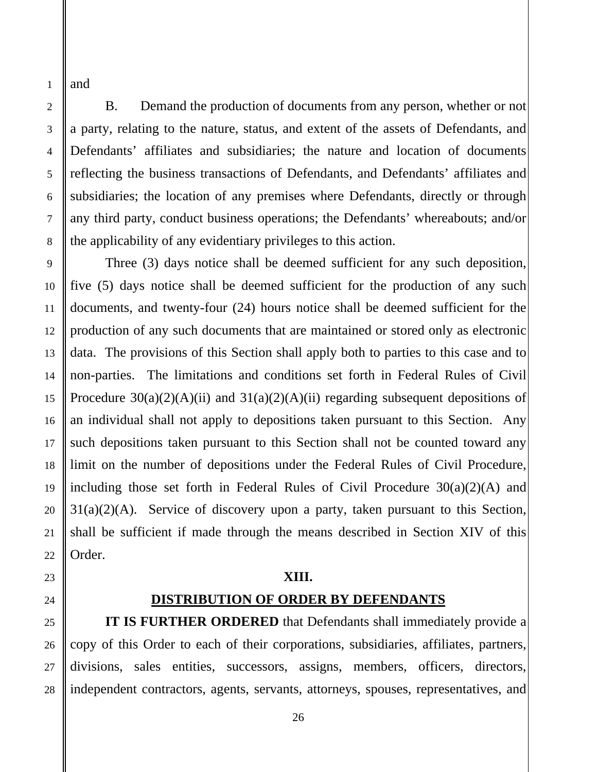and

1

2

3

4

5

6

7

8

9

10

11

12

13

14

15

16

17

18

19

20

21

22

23

25

26

27

28

 B. Demand the production of documents from any person, whether or not a party, relating to the nature, status, and extent of the assets of Defendants, and Defendants' affiliates and subsidiaries; the nature and location of documents reflecting the business transactions of Defendants, and Defendants' affiliates and subsidiaries; the location of any premises where Defendants, directly or through any third party, conduct business operations; the Defendants' whereabouts; and/or the applicability of any evidentiary privileges to this action.

 Three (3) days notice shall be deemed sufficient for any such deposition, five (5) days notice shall be deemed sufficient for the production of any such documents, and twenty-four (24) hours notice shall be deemed sufficient for the production of any such documents that are maintained or stored only as electronic data. The provisions of this Section shall apply both to parties to this case and to non-parties. The limitations and conditions set forth in Federal Rules of Civil Procedure  $30(a)(2)(A)(ii)$  and  $31(a)(2)(A)(ii)$  regarding subsequent depositions of an individual shall not apply to depositions taken pursuant to this Section. Any such depositions taken pursuant to this Section shall not be counted toward any limit on the number of depositions under the Federal Rules of Civil Procedure, including those set forth in Federal Rules of Civil Procedure  $30(a)(2)(A)$  and  $31(a)(2)(A)$ . Service of discovery upon a party, taken pursuant to this Section, shall be sufficient if made through the means described in Section XIV of this Order.

### **XIII.**

24

# **DISTRIBUTION OF ORDER BY DEFENDANTS**

**IT IS FURTHER ORDERED** that Defendants shall immediately provide a copy of this Order to each of their corporations, subsidiaries, affiliates, partners, divisions, sales entities, successors, assigns, members, officers, directors, independent contractors, agents, servants, attorneys, spouses, representatives, and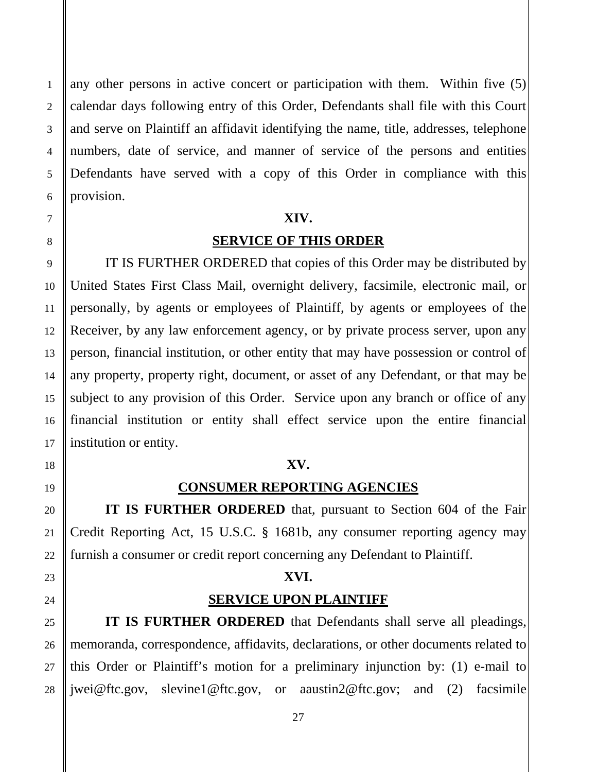any other persons in active concert or participation with them. Within five (5) calendar days following entry of this Order, Defendants shall file with this Court and serve on Plaintiff an affidavit identifying the name, title, addresses, telephone numbers, date of service, and manner of service of the persons and entities Defendants have served with a copy of this Order in compliance with this provision.

### **XIV.**

# **SERVICE OF THIS ORDER**

 IT IS FURTHER ORDERED that copies of this Order may be distributed by United States First Class Mail, overnight delivery, facsimile, electronic mail, or personally, by agents or employees of Plaintiff, by agents or employees of the Receiver, by any law enforcement agency, or by private process server, upon any person, financial institution, or other entity that may have possession or control of any property, property right, document, or asset of any Defendant, or that may be subject to any provision of this Order. Service upon any branch or office of any financial institution or entity shall effect service upon the entire financial institution or entity.

### **XV.**

### **CONSUMER REPORTING AGENCIES**

 **IT IS FURTHER ORDERED** that, pursuant to Section 604 of the Fair Credit Reporting Act, 15 U.S.C. § 1681b, any consumer reporting agency may furnish a consumer or credit report concerning any Defendant to Plaintiff.

### **XVI.**

### **SERVICE UPON PLAINTIFF**

 **IT IS FURTHER ORDERED** that Defendants shall serve all pleadings, memoranda, correspondence, affidavits, declarations, or other documents related to this Order or Plaintiff's motion for a preliminary injunction by: (1) e-mail to jwei@ftc.gov, slevine1@ftc.gov, or aaustin2@ftc.gov; and (2) facsimile